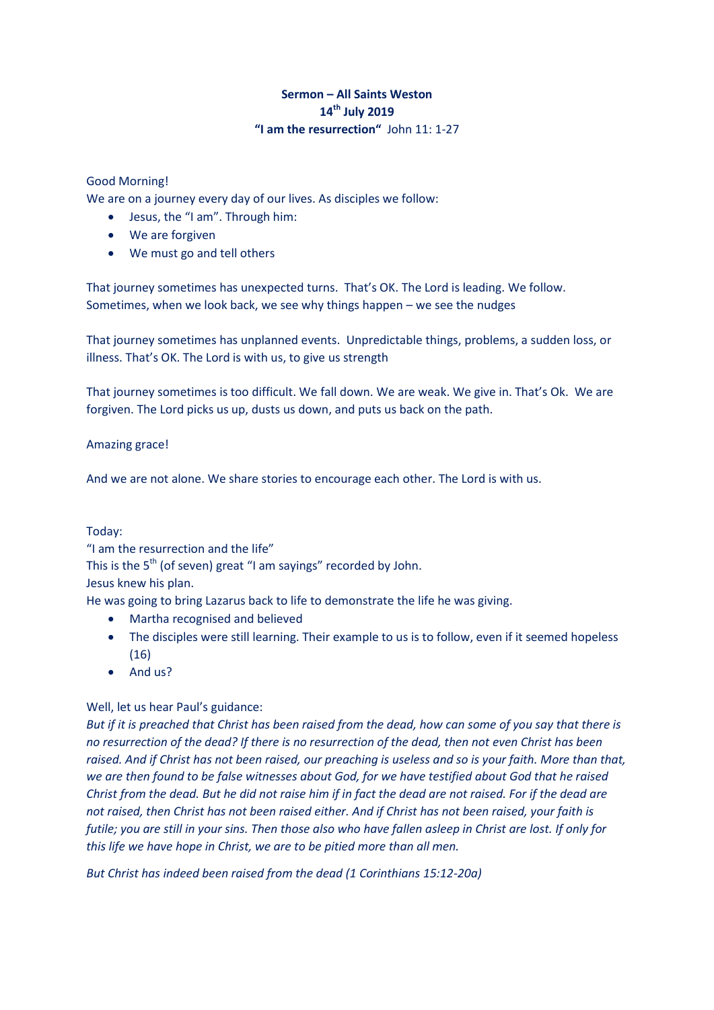# **Sermon – All Saints Weston 14th July 2019 "I am the resurrection"** John 11: 1-27

## Good Morning!

We are on a journey every day of our lives. As disciples we follow:

- Jesus, the "I am". Through him:
- We are forgiven
- We must go and tell others

That journey sometimes has unexpected turns. That's OK. The Lord is leading. We follow. Sometimes, when we look back, we see why things happen – we see the nudges

That journey sometimes has unplanned events. Unpredictable things, problems, a sudden loss, or illness. That's OK. The Lord is with us, to give us strength

That journey sometimes is too difficult. We fall down. We are weak. We give in. That's Ok. We are forgiven. The Lord picks us up, dusts us down, and puts us back on the path.

### Amazing grace!

And we are not alone. We share stories to encourage each other. The Lord is with us.

### Today:

"I am the resurrection and the life" This is the 5<sup>th</sup> (of seven) great "I am sayings" recorded by John. Jesus knew his plan.

He was going to bring Lazarus back to life to demonstrate the life he was giving.

- Martha recognised and believed
- The disciples were still learning. Their example to us is to follow, even if it seemed hopeless (16)
- $\bullet$  And us?

### Well, let us hear Paul's guidance:

*But if it is preached that Christ has been raised from the dead, how can some of you say that there is no resurrection of the dead? If there is no resurrection of the dead, then not even Christ has been raised. And if Christ has not been raised, our preaching is useless and so is your faith. More than that, we are then found to be false witnesses about God, for we have testified about God that he raised Christ from the dead. But he did not raise him if in fact the dead are not raised. For if the dead are not raised, then Christ has not been raised either. And if Christ has not been raised, your faith is futile; you are still in your sins. Then those also who have fallen asleep in Christ are lost. If only for this life we have hope in Christ, we are to be pitied more than all men.* 

*But Christ has indeed been raised from the dead (1 Corinthians 15:12-20a)*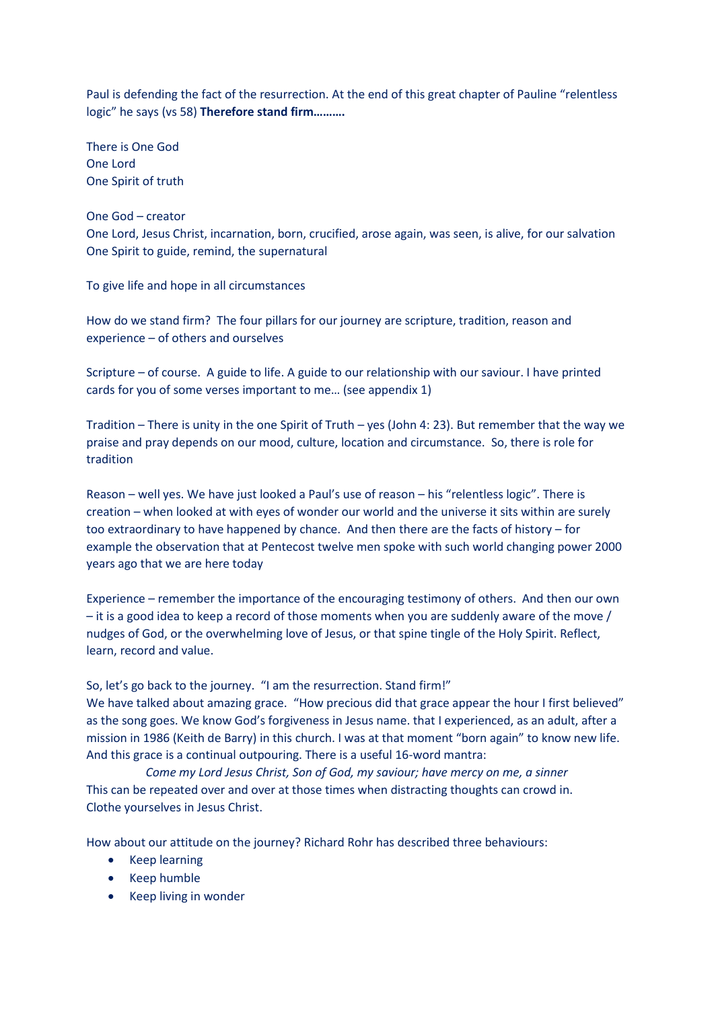Paul is defending the fact of the resurrection. At the end of this great chapter of Pauline "relentless logic" he says (vs 58) **Therefore stand firm……….**

There is One God One Lord One Spirit of truth

One God – creator One Lord, Jesus Christ, incarnation, born, crucified, arose again, was seen, is alive, for our salvation One Spirit to guide, remind, the supernatural

To give life and hope in all circumstances

How do we stand firm? The four pillars for our journey are scripture, tradition, reason and experience – of others and ourselves

Scripture – of course. A guide to life. A guide to our relationship with our saviour. I have printed cards for you of some verses important to me… (see appendix 1)

Tradition – There is unity in the one Spirit of Truth – yes (John 4: 23). But remember that the way we praise and pray depends on our mood, culture, location and circumstance. So, there is role for tradition

Reason – well yes. We have just looked a Paul's use of reason – his "relentless logic". There is creation – when looked at with eyes of wonder our world and the universe it sits within are surely too extraordinary to have happened by chance. And then there are the facts of history – for example the observation that at Pentecost twelve men spoke with such world changing power 2000 years ago that we are here today

Experience – remember the importance of the encouraging testimony of others. And then our own – it is a good idea to keep a record of those moments when you are suddenly aware of the move / nudges of God, or the overwhelming love of Jesus, or that spine tingle of the Holy Spirit. Reflect, learn, record and value.

So, let's go back to the journey. "I am the resurrection. Stand firm!"

We have talked about amazing grace. "How precious did that grace appear the hour I first believed" as the song goes. We know God's forgiveness in Jesus name. that I experienced, as an adult, after a mission in 1986 (Keith de Barry) in this church. I was at that moment "born again" to know new life. And this grace is a continual outpouring. There is a useful 16-word mantra:

*Come my Lord Jesus Christ, Son of God, my saviour; have mercy on me, a sinner* This can be repeated over and over at those times when distracting thoughts can crowd in. Clothe yourselves in Jesus Christ.

How about our attitude on the journey? Richard Rohr has described three behaviours:

- Keep learning
- Keep humble
- Keep living in wonder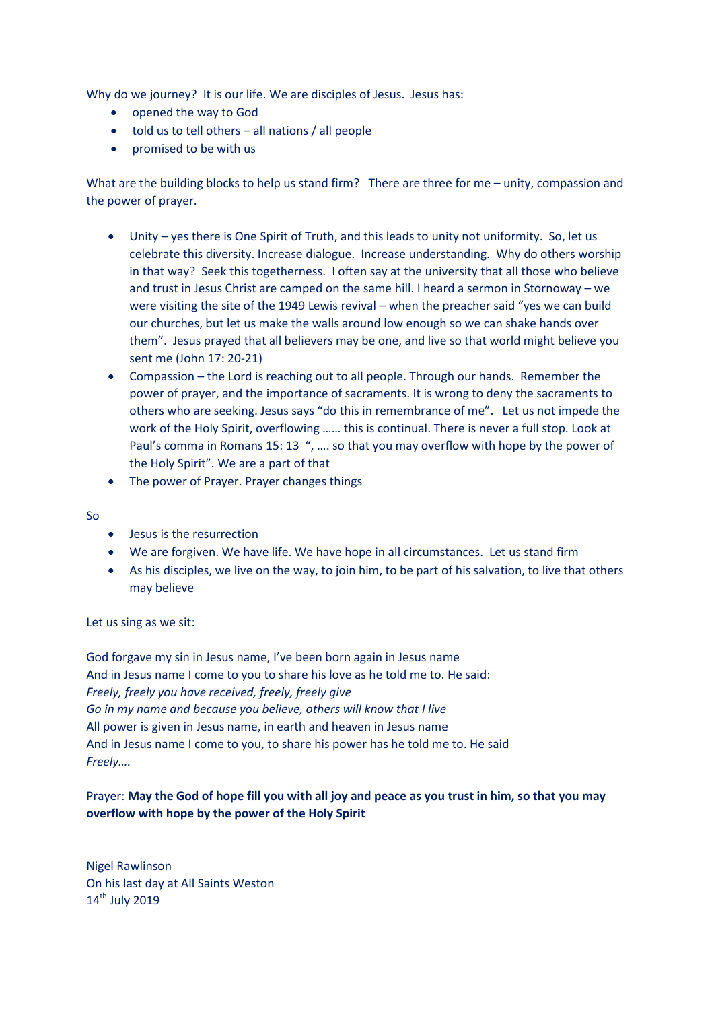Why do we journey? It is our life. We are disciples of Jesus. Jesus has:

- opened the way to God
- told us to tell others all nations / all people
- promised to be with us

What are the building blocks to help us stand firm? There are three for me – unity, compassion and the power of prayer.

- Unity yes there is One Spirit of Truth, and this leads to unity not uniformity. So, let us celebrate this diversity. Increase dialogue. Increase understanding. Why do others worship in that way? Seek this togetherness. I often say at the university that all those who believe and trust in Jesus Christ are camped on the same hill. I heard a sermon in Stornoway – we were visiting the site of the 1949 Lewis revival – when the preacher said "yes we can build our churches, but let us make the walls around low enough so we can shake hands over them". Jesus prayed that all believers may be one, and live so that world might believe you sent me (John 17: 20-21)
- Compassion the Lord is reaching out to all people. Through our hands. Remember the power of prayer, and the importance of sacraments. It is wrong to deny the sacraments to others who are seeking. Jesus says "do this in remembrance of me". Let us not impede the work of the Holy Spirit, overflowing …… this is continual. There is never a full stop. Look at Paul's comma in Romans 15: 13 ", …. so that you may overflow with hope by the power of the Holy Spirit". We are a part of that
- The power of Prayer. Prayer changes things

#### So

- Jesus is the resurrection
- We are forgiven. We have life. We have hope in all circumstances. Let us stand firm
- As his disciples, we live on the way, to join him, to be part of his salvation, to live that others may believe

### Let us sing as we sit:

God forgave my sin in Jesus name, I've been born again in Jesus name And in Jesus name I come to you to share his love as he told me to. He said: *Freely, freely you have received, freely, freely give Go in my name and because you believe, others will know that I live* All power is given in Jesus name, in earth and heaven in Jesus name And in Jesus name I come to you, to share his power has he told me to. He said *Freely….*

## Prayer: **May the God of hope fill you with all joy and peace as you trust in him, so that you may overflow with hope by the power of the Holy Spirit**

Nigel Rawlinson On his last day at All Saints Weston 14<sup>th</sup> July 2019